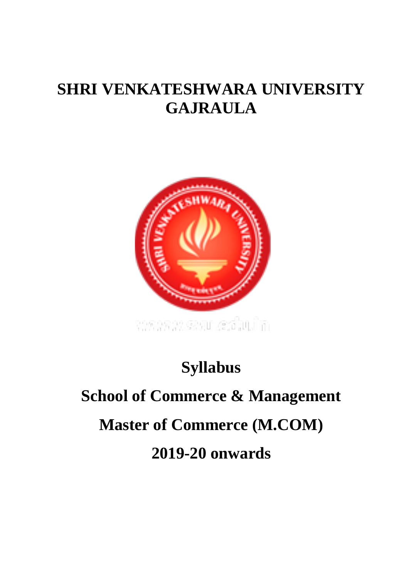# **SHRI VENKATESHWARA UNIVERSITY GAJRAULA**



# **Syllabus**

# **School of Commerce & Management Master of Commerce (M.COM) 2019-20 onwards**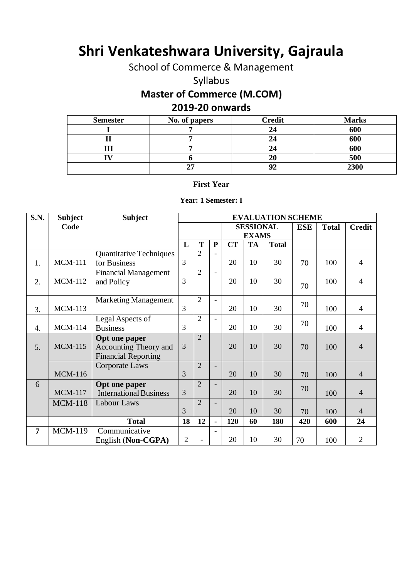# **Shri Venkateshwara University, Gajraula**

School of Commerce & Management

Syllabus

# **Master of Commerce (M.COM)**

# **2019-20 onwards**

| <b>Semester</b> | No. of papers | <b>Credit</b> | <b>Marks</b> |
|-----------------|---------------|---------------|--------------|
|                 |               |               | 600          |
|                 |               |               | 600          |
|                 |               | 24            | 600          |
|                 |               | 20            | 500          |
|                 | רי            | Q^            | 2300         |

#### **First Year**

#### **Year: 1 Semester: I**

| S.N.           | <b>Subject</b> | <b>Subject</b>                 | <b>EVALUATION SCHEME</b> |                          |                          |     |            |              |               |     |                |
|----------------|----------------|--------------------------------|--------------------------|--------------------------|--------------------------|-----|------------|--------------|---------------|-----|----------------|
|                | Code           |                                |                          |                          | <b>SESSIONAL</b>         |     | <b>ESE</b> | <b>Total</b> | <b>Credit</b> |     |                |
|                |                |                                |                          |                          | <b>EXAMS</b>             |     |            |              |               |     |                |
|                |                |                                | L                        | T                        | ${\bf P}$                | CT  | <b>TA</b>  | <b>Total</b> |               |     |                |
|                |                | <b>Quantitative Techniques</b> |                          | $\overline{2}$           | $\blacksquare$           |     |            |              |               |     |                |
| 1.             | <b>MCM-111</b> | for Business                   | 3                        |                          |                          | 20  | 10         | 30           | 70            | 100 | $\overline{4}$ |
|                |                | <b>Financial Management</b>    |                          | $\overline{2}$           | $\overline{\phantom{a}}$ |     |            |              |               |     |                |
| 2.             | <b>MCM-112</b> | and Policy                     | 3                        |                          |                          | 20  | 10         | 30           | 70            | 100 | 4              |
|                |                |                                |                          |                          |                          |     |            |              |               |     |                |
|                |                | <b>Marketing Management</b>    |                          | $\overline{2}$           | $\blacksquare$           |     |            |              |               |     |                |
| 3.             | <b>MCM-113</b> |                                | 3                        |                          |                          | 20  | 10         | 30           | 70            | 100 | $\overline{4}$ |
|                |                | Legal Aspects of               |                          | $\overline{2}$           | $\overline{\phantom{a}}$ |     |            |              |               |     |                |
| 4.             | <b>MCM-114</b> | <b>Business</b>                | 3                        |                          |                          | 20  | 10         | 30           | 70            | 100 | $\overline{4}$ |
|                |                | Opt one paper                  |                          | $\overline{2}$           |                          |     |            |              |               |     |                |
| 5.             | <b>MCM-115</b> | Accounting Theory and          | $\overline{3}$           |                          |                          | 20  | 10         | 30           | 70            | 100 | $\overline{4}$ |
|                |                | <b>Financial Reporting</b>     |                          |                          |                          |     |            |              |               |     |                |
|                |                | Corporate Laws                 |                          | $\overline{2}$           | $\overline{\phantom{a}}$ |     |            |              |               |     |                |
|                | <b>MCM-116</b> |                                | 3                        |                          |                          | 20  | 10         | 30           | 70            | 100 | $\overline{4}$ |
| 6              |                | Opt one paper                  |                          | $\overline{2}$           | $\overline{\phantom{a}}$ |     |            |              | 70            |     |                |
|                | <b>MCM-117</b> | <b>International Business</b>  | 3                        |                          |                          | 20  | 10         | 30           |               | 100 | $\overline{4}$ |
|                | <b>MCM-118</b> | Labour Laws                    |                          | $\overline{2}$           | $\overline{\phantom{a}}$ |     |            |              |               |     |                |
|                |                |                                | 3                        |                          |                          | 20  | 10         | 30           | 70            | 100 | $\overline{4}$ |
|                |                | <b>Total</b>                   | 18                       | 12                       | $\blacksquare$           | 120 | 60         | 180          | 420           | 600 | 24             |
| $\overline{7}$ | <b>MCM-119</b> | Communicative                  |                          |                          | $\overline{\phantom{a}}$ |     |            |              |               |     |                |
|                |                | English (Non-CGPA)             | $\overline{2}$           | $\overline{\phantom{0}}$ |                          | 20  | 10         | 30           | 70            | 100 | $\overline{2}$ |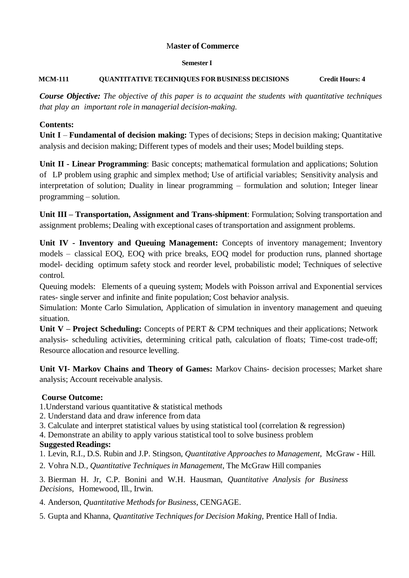#### **Semester I**

#### **MCM-111 QUANTITATIVE TECHNIQUES FOR BUSINESS DECISIONS Credit Hours: 4**

*Course Objective: The objective of this paper is to acquaint the students with quantitative techniques that play an important role in managerial decision-making.*

#### **Contents:**

**Unit I** – **Fundamental of decision making:** Types of decisions; Steps in decision making; Quantitative analysis and decision making; Different types of models and their uses; Model building steps.

**Unit II - Linear Programming**: Basic concepts; mathematical formulation and applications; Solution of LP problem using graphic and simplex method; Use of artificial variables; Sensitivity analysis and interpretation of solution; Duality in linear programming – formulation and solution; Integer linear programming – solution.

**Unit III – Transportation, Assignment and Trans-shipment**: Formulation; Solving transportation and assignment problems; Dealing with exceptional cases of transportation and assignment problems.

**Unit IV - Inventory and Queuing Management:** Concepts of inventory management; Inventory models – classical EOQ, EOQ with price breaks, EOQ model for production runs, planned shortage model- deciding optimum safety stock and reorder level, probabilistic model; Techniques of selective control.

Queuing models: Elements of a queuing system; Models with Poisson arrival and Exponential services rates- single server and infinite and finite population; Cost behavior analysis.

Simulation: Monte Carlo Simulation, Application of simulation in inventory management and queuing situation.

**Unit V – Project Scheduling:** Concepts of PERT & CPM techniques and their applications; Network analysis- scheduling activities, determining critical path, calculation of floats; Time-cost trade-off; Resource allocation and resource levelling.

**Unit VI- Markov Chains and Theory of Games:** Markov Chains- decision processes; Market share analysis; Account receivable analysis.

# **Course Outcome:**

1.Understand various quantitative & statistical methods

- 2. Understand data and draw inference from data
- 3. Calculate and interpret statistical values by using statistical tool (correlation & regression)
- 4. Demonstrate an ability to apply various statistical tool to solve business problem

# **Suggested Readings:**

- 1. Levin, R.I., D.S. Rubin and J.P. Stingson, *Quantitative Approaches to Management*, McGraw Hill.
- 2. Vohra N.D*., Quantitative Techniquesin Management*, The McGraw Hill companies

3. Bierman H. Jr, C.P. Bonini and W.H. Hausman, *Quantitative Analysis for Business Decisions*, Homewood, Ill., Irwin.

4. Anderson, *Quantitative Methodsfor Business*, CENGAGE.

5. Gupta and Khanna, *Quantitative Techniquesfor Decision Making,* Prentice Hall of India.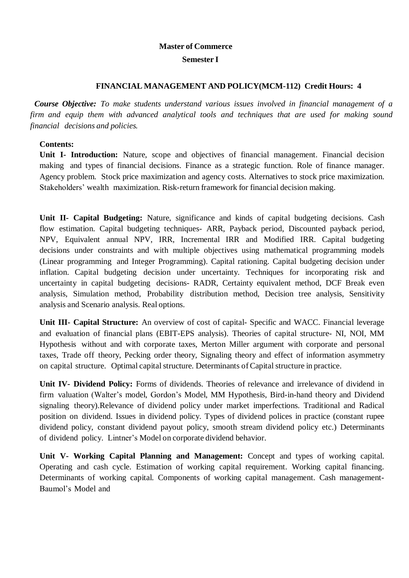#### **Semester I**

#### **FINANCIAL MANAGEMENT AND POLICY(MCM-112) Credit Hours: 4**

*Course Objective: To make students understand various issues involved in financial management of a firm and equip them with advanced analytical tools and techniques that are used for making sound financial decisions and policies.*

#### **Contents:**

**Unit I- Introduction:** Nature, scope and objectives of financial management. Financial decision making and types of financial decisions. Finance as a strategic function. Role of finance manager. Agency problem. Stock price maximization and agency costs. Alternatives to stock price maximization. Stakeholders' wealth maximization. Risk-return framework for financial decision making.

**Unit II- Capital Budgeting:** Nature, significance and kinds of capital budgeting decisions. Cash flow estimation. Capital budgeting techniques- ARR, Payback period, Discounted payback period, NPV, Equivalent annual NPV, IRR, Incremental IRR and Modified IRR. Capital budgeting decisions under constraints and with multiple objectives using mathematical programming models (Linear programming and Integer Programming). Capital rationing. Capital budgeting decision under inflation. Capital budgeting decision under uncertainty. Techniques for incorporating risk and uncertainty in capital budgeting decisions- RADR, Certainty equivalent method, DCF Break even analysis, Simulation method, Probability distribution method, Decision tree analysis, Sensitivity analysis and Scenario analysis. Real options.

**Unit III- Capital Structure:** An overview of cost of capital- Specific and WACC. Financial leverage and evaluation of financial plans (EBIT-EPS analysis). Theories of capital structure- NI, NOI, MM Hypothesis without and with corporate taxes, Merton Miller argument with corporate and personal taxes, Trade off theory, Pecking order theory, Signaling theory and effect of information asymmetry on capital structure. Optimal capital structure. Determinants of Capital structure in practice.

**Unit IV- Dividend Policy:** Forms of dividends. Theories of relevance and irrelevance of dividend in firm valuation (Walter's model, Gordon's Model, MM Hypothesis, Bird-in-hand theory and Dividend signaling theory).Relevance of dividend policy under market imperfections. Traditional and Radical position on dividend. Issues in dividend policy. Types of dividend polices in practice (constant rupee dividend policy, constant dividend payout policy, smooth stream dividend policy etc.) Determinants of dividend policy. Lintner's Model on corporate dividend behavior.

**Unit V- Working Capital Planning and Management:** Concept and types of working capital. Operating and cash cycle. Estimation of working capital requirement. Working capital financing. Determinants of working capital. Components of working capital management. Cash management-Baumol's Model and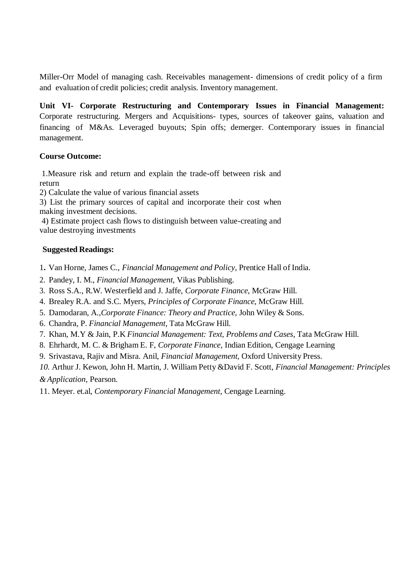Miller-Orr Model of managing cash. Receivables management- dimensions of credit policy of a firm and evaluation of credit policies; credit analysis. Inventory management.

**Unit VI- Corporate Restructuring and Contemporary Issues in Financial Management:** Corporate restructuring. Mergers and Acquisitions- types, sources of takeover gains, valuation and financing of M&As. Leveraged buyouts; Spin offs; demerger. Contemporary issues in financial management.

#### **Course Outcome:**

1.Measure risk and return and explain the trade-off between risk and return

2) Calculate the value of various financial assets

3) List the primary sources of capital and incorporate their cost when making investment decisions.

4) Estimate project cash flows to distinguish between value-creating and value destroying investments

#### **Suggested Readings:**

- 1**.** Van Horne, James C., *Financial Management and Policy*, Prentice Hall of India.
- 2. Pandey, I. M., *Financial Management,* Vikas Publishing.
- 3. Ross S.A., R.W. Westerfield and J. Jaffe, *Corporate Finance*, McGraw Hill.
- 4. Brealey R.A. and S.C. Myers, *Principles of Corporate Finance*, McGraw Hill.
- 5. Damodaran, A.,*Corporate Finance: Theory and Practice,* John Wiley & Sons.
- 6. Chandra, P. *Financial Management*, Tata McGraw Hill.
- 7. Khan, M.Y & Jain, P.K *Financial Management: Text, Problems and Cases*, Tata McGraw Hill.
- 8. Ehrhardt, M. C. & Brigham E. F, *Corporate Finance*, Indian Edition, Cengage Learning
- 9. Srivastava, Rajiv and Misra. Anil, *Financial Management,* Oxford University Press.
- *10.* Arthur J. Kewon, John H. Martin, J. William Petty &David F. Scott, *Financial Management: Principles*

*&Application,* Pearson.

11. Meyer. et.al, *Contemporary Financial Management*, Cengage Learning.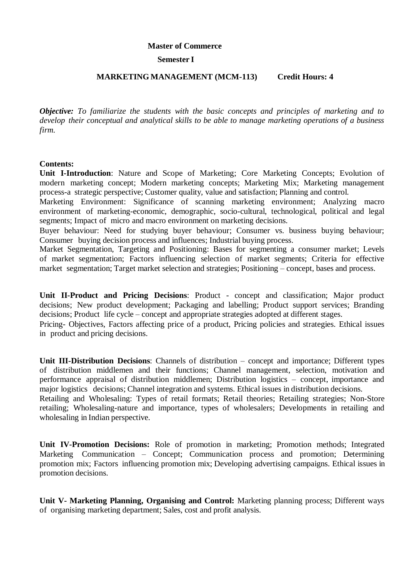#### **Semester I**

#### **MARKETING MANAGEMENT (MCM-113) Credit Hours: 4**

*Objective: To familiarize the students with the basic concepts and principles of marketing and to develop their conceptual and analytical skills to be able to manage marketing operations of a business firm.*

#### **Contents:**

**Unit I-Introduction**: Nature and Scope of Marketing; Core Marketing Concepts; Evolution of modern marketing concept; Modern marketing concepts; Marketing Mix; Marketing management process-a strategic perspective; Customer quality, value and satisfaction; Planning and control.

Marketing Environment: Significance of scanning marketing environment; Analyzing macro environment of marketing-economic, demographic, socio-cultural, technological, political and legal segments; Impact of micro and macro environment on marketing decisions.

Buyer behaviour: Need for studying buyer behaviour; Consumer vs. business buying behaviour; Consumer buying decision process and influences; Industrial buying process.

Market Segmentation, Targeting and Positioning: Bases for segmenting a consumer market; Levels of market segmentation; Factors influencing selection of market segments; Criteria for effective market segmentation; Target market selection and strategies; Positioning – concept, bases and process.

**Unit II-Product and Pricing Decisions**: Product - concept and classification; Major product decisions; New product development; Packaging and labelling; Product support services; Branding decisions; Product life cycle – concept and appropriate strategies adopted at different stages.

Pricing- Objectives, Factors affecting price of a product, Pricing policies and strategies. Ethical issues in product and pricing decisions.

**Unit III-Distribution Decisions**: Channels of distribution – concept and importance; Different types of distribution middlemen and their functions; Channel management, selection, motivation and performance appraisal of distribution middlemen; Distribution logistics – concept, importance and major logistics decisions; Channel integration and systems. Ethical issues in distribution decisions.

Retailing and Wholesaling: Types of retail formats; Retail theories; Retailing strategies; Non-Store retailing; Wholesaling-nature and importance, types of wholesalers; Developments in retailing and wholesaling in Indian perspective.

**Unit IV-Promotion Decisions:** Role of promotion in marketing; Promotion methods; Integrated Marketing Communication – Concept; Communication process and promotion; Determining promotion mix; Factors influencing promotion mix; Developing advertising campaigns. Ethical issues in promotion decisions.

**Unit V- Marketing Planning, Organising and Control:** Marketing planning process; Different ways of organising marketing department; Sales, cost and profit analysis.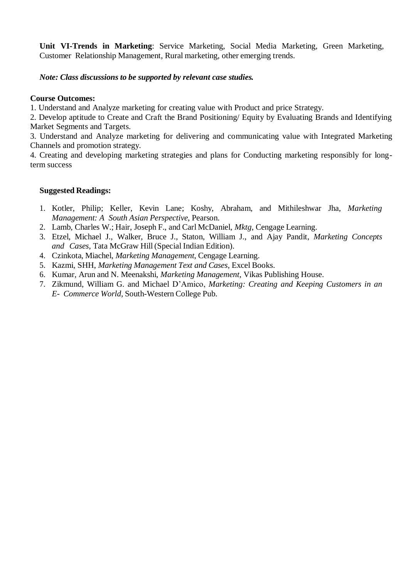**Unit VI-Trends in Marketing**: Service Marketing, Social Media Marketing, Green Marketing, Customer Relationship Management, Rural marketing, other emerging trends.

#### *Note: Class discussions to be supported by relevant case studies.*

#### **Course Outcomes:**

1. Understand and Analyze marketing for creating value with Product and price Strategy.

2. Develop aptitude to Create and Craft the Brand Positioning/ Equity by Evaluating Brands and Identifying Market Segments and Targets.

3. Understand and Analyze marketing for delivering and communicating value with Integrated Marketing Channels and promotion strategy.

4. Creating and developing marketing strategies and plans for Conducting marketing responsibly for longterm success

#### **Suggested Readings:**

- 1. Kotler, Philip; Keller, Kevin Lane; Koshy, Abraham, and Mithileshwar Jha, *Marketing Management: A South Asian Perspective*, Pearson.
- 2. Lamb, Charles W.; Hair, Joseph F., and Carl McDaniel, *Mktg*, Cengage Learning.
- 3. Etzel, Michael J., Walker, Bruce J., Staton, William J., and Ajay Pandit, *Marketing Concepts and Cases*, Tata McGraw Hill(Special Indian Edition).
- 4. Czinkota, Miachel, *Marketing Management*, Cengage Learning.
- 5. Kazmi, SHH, *Marketing Management Text and Cases*, Excel Books.
- 6. Kumar, Arun and N. Meenakshi, *Marketing Management*, Vikas Publishing House.
- 7. Zikmund, William G. and Michael D'Amico, *Marketing: Creating and Keeping Customers in an E- Commerce World*, South-Western College Pub.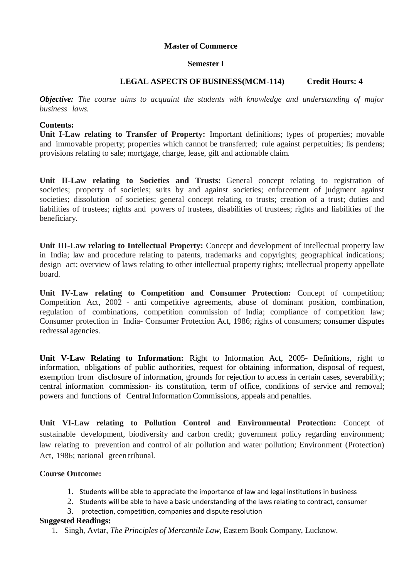#### **Semester I**

#### **LEGAL ASPECTS OF BUSINESS(MCM-114) Credit Hours: 4**

*Objective: The course aims to acquaint the students with knowledge and understanding of major business laws.*

#### **Contents:**

**Unit I-Law relating to Transfer of Property:** Important definitions; types of properties; movable and immovable property; properties which cannot be transferred; rule against perpetuities; lis pendens; provisions relating to sale; mortgage, charge, lease, gift and actionable claim.

**Unit II-Law relating to Societies and Trusts:** General concept relating to registration of societies; property of societies; suits by and against societies; enforcement of judgment against societies; dissolution of societies; general concept relating to trusts; creation of a trust; duties and liabilities of trustees; rights and powers of trustees, disabilities of trustees; rights and liabilities of the beneficiary.

**Unit III-Law relating to Intellectual Property:** Concept and development of intellectual property law in India; law and procedure relating to patents, trademarks and copyrights; geographical indications; design act; overview of laws relating to other intellectual property rights; intellectual property appellate board.

**Unit IV-Law relating to Competition and Consumer Protection:** Concept of competition; Competition Act, 2002 - anti competitive agreements, abuse of dominant position, combination, regulation of combinations, competition commission of India; compliance of competition law; Consumer protection in India- Consumer Protection Act, 1986; rights of consumers; consumer disputes redressal agencies.

**Unit V-Law Relating to Information:** Right to Information Act, 2005- Definitions, right to information, obligations of public authorities, request for obtaining information, disposal of request, exemption from disclosure of information, grounds for rejection to access in certain cases, severability; central information commission- its constitution, term of office, conditions of service and removal; powers and functions of CentralInformation Commissions, appeals and penalties.

**Unit VI-Law relating to Pollution Control and Environmental Protection:** Concept of sustainable development, biodiversity and carbon credit; government policy regarding environment; law relating to prevention and control of air pollution and water pollution; Environment (Protection) Act, 1986; national green tribunal.

#### **Course Outcome:**

- 1. Students will be able to appreciate the importance of law and legal institutions in business
- 2. Students will be able to have a basic understanding of the laws relating to contract, consumer
- 3. protection, competition, companies and dispute resolution

#### **Suggested Readings:**

1. Singh, Avtar, *The Principles of Mercantile Law*, Eastern Book Company, Lucknow.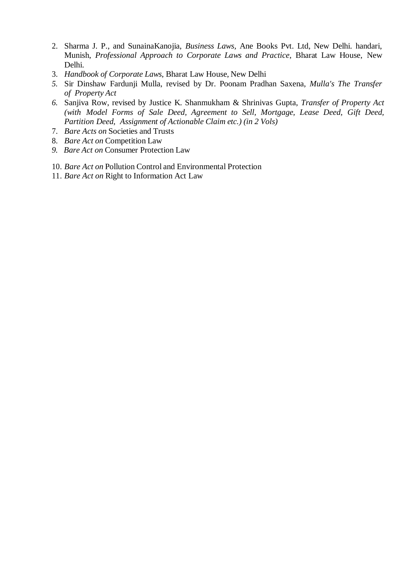- 2. Sharma J. P., and SunainaKanojia, *Business Laws,* Ane Books Pvt. Ltd, New Delhi. handari, Munish, *Professional Approach to Corporate Laws and Practice*, Bharat Law House, New Delhi.
- 3. *Handbook of Corporate Laws*, Bharat Law House, New Delhi
- *5.* Sir Dinshaw Fardunji Mulla, revised by Dr. Poonam Pradhan Saxena, *Mulla's The Transfer of Property Act*
- *6.* Sanjiva Row, revised by Justice K. Shanmukham & Shrinivas Gupta, *Transfer of Property Act (with Model Forms of Sale Deed, Agreement to Sell, Mortgage, Lease Deed, Gift Deed, Partition Deed, Assignment of Actionable Claim etc.) (in 2 Vols)*
- 7. *Bare Acts on* Societies and Trusts
- 8. *Bare Act on* Competition Law
- *9. Bare Act on* Consumer Protection Law
- 10. *Bare Act on* Pollution Control and Environmental Protection
- 11. *Bare Act on* Right to Information Act Law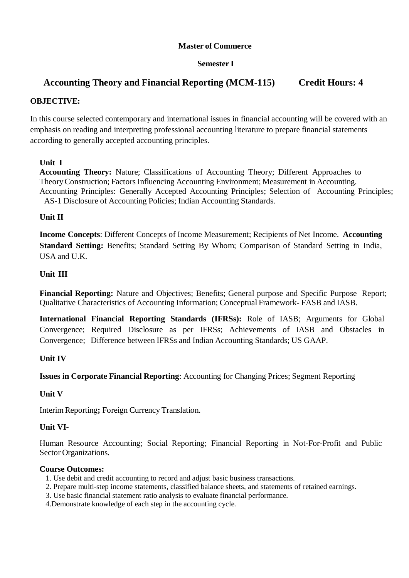#### **Semester I**

# **Accounting Theory and Financial Reporting (MCM-115) Credit Hours: 4**

#### **OBJECTIVE:**

In this course selected contemporary and international issues in financial accounting will be covered with an emphasis on reading and interpreting professional accounting literature to prepare financial statements according to generally accepted accounting principles.

#### **Unit I**

**Accounting Theory:** Nature; Classifications of Accounting Theory; Different Approaches to Theory Construction; Factors Influencing Accounting Environment; Measurement in Accounting. Accounting Principles: Generally Accepted Accounting Principles; Selection of Accounting Principles; AS-1 Disclosure of Accounting Policies; Indian Accounting Standards.

#### **Unit II**

**Income Concepts**: Different Concepts of Income Measurement; Recipients of Net Income. **Accounting Standard Setting:** Benefits; Standard Setting By Whom; Comparison of Standard Setting in India, USA and U.K.

#### **Unit III**

**Financial Reporting:** Nature and Objectives; Benefits; General purpose and Specific Purpose Report; Qualitative Characteristics of Accounting Information; Conceptual Framework- FASB and IASB.

**International Financial Reporting Standards (IFRSs):** Role of IASB; Arguments for Global Convergence; Required Disclosure as per IFRSs; Achievements of IASB and Obstacles in Convergence; Difference between IFRSs and Indian Accounting Standards; US GAAP.

#### **Unit IV**

**Issues in Corporate Financial Reporting**: Accounting for Changing Prices; Segment Reporting

#### **Unit V**

Interim Reporting**;** Foreign Currency Translation.

#### **Unit VI-**

Human Resource Accounting; Social Reporting; Financial Reporting in Not-For-Profit and Public Sector Organizations.

#### **Course Outcomes:**

- 1. Use debit and credit accounting to record and adjust basic business transactions.
- 2. Prepare multi-step income statements, classified balance sheets, and statements of retained earnings.
- 3. Use basic financial statement ratio analysis to evaluate financial performance.
- 4.Demonstrate knowledge of each step in the accounting cycle.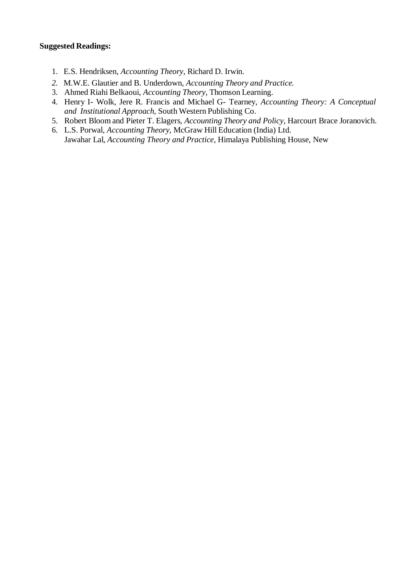#### **Suggested Readings:**

- 1. E.S. Hendriksen, *Accounting Theory*, Richard D. Irwin.
- *2.* M.W.E. Glautier and B. Underdown, *Accounting Theory and Practice.*
- 3. Ahmed Riahi Belkaoui, *Accounting Theory*, Thomson Learning.
- 4. Henry I- Wolk, Jere R. Francis and Michael G- Tearney, *Accounting Theory: A Conceptual and Institutional Approach,* South Western Publishing Co.
- 5. Robert Bloom and Pieter T. Elagers, *Accounting Theory and Policy*, Harcourt Brace Joranovich.
- 6. L.S. Porwal*, Accounting Theory*, McGraw Hill Education (India) Ltd. Jawahar Lal, *Accounting Theory and Practice*, Himalaya Publishing House, New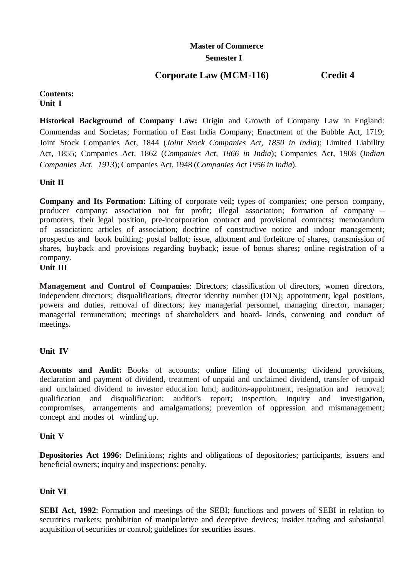## **Master of Commerce Semester I**

# **Corporate Law (MCM-116) Credit 4**

#### **Contents: Unit I**

**Historical Background of Company Law:** Origin and Growth of Company Law in England: Commendas and Societas; Formation of East India Company; Enactment of the Bubble Act, 1719; Joint Stock Companies Act, 1844 (*Joint Stock Companies Act, 1850 in India*); Limited Liability Act, 1855; Companies Act, 1862 (*Companies Act, 1866 in India*); Companies Act, 1908 (*Indian Companies Act, 1913*); Companies Act, 1948 (*Companies Act 1956 in India*).

**Unit II**

**Company and Its Formation:** Lifting of corporate veil**;** types of companies; one person company, producer company; association not for profit; illegal association; formation of company – promoters, their legal position, pre-incorporation contract and provisional contracts**;** memorandum of association; articles of association; doctrine of constructive notice and indoor management; prospectus and book building; postal ballot; issue, allotment and forfeiture of shares, transmission of shares, buyback and provisions regarding buyback; issue of bonus shares**;** online registration of a company.

#### **Unit III**

**Management and Control of Companies**: Directors; classification of directors, women directors, independent directors; disqualifications, director identity number (DIN); appointment, legal positions, powers and duties, removal of directors; key managerial personnel, managing director, manager; managerial remuneration; meetings of shareholders and board- kinds, convening and conduct of meetings.

#### **Unit IV**

**Accounts and Audit:** Books of accounts; online filing of documents; dividend provisions, declaration and payment of dividend, treatment of unpaid and unclaimed dividend, transfer of unpaid and unclaimed dividend to investor education fund; auditors-appointment, resignation and removal; qualification and disqualification; auditor's report; inspection, inquiry and investigation, compromises, arrangements and amalgamations; prevention of oppression and mismanagement; concept and modes of winding up.

#### **Unit V**

**Depositories Act 1996:** Definitions; rights and obligations of depositories; participants, issuers and beneficial owners; inquiry and inspections; penalty.

#### **Unit VI**

**SEBI Act, 1992**: Formation and meetings of the SEBI; functions and powers of SEBI in relation to securities markets; prohibition of manipulative and deceptive devices; insider trading and substantial acquisition of securities or control; guidelines for securities issues.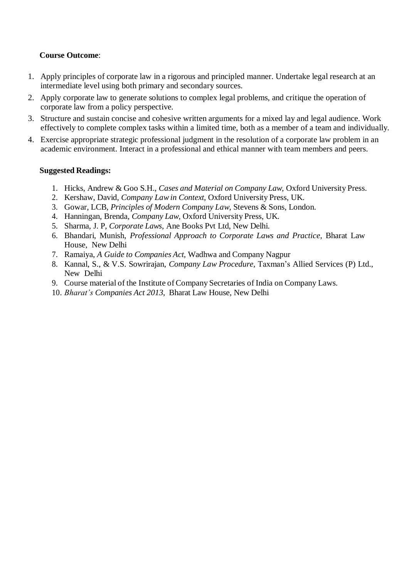#### **Course Outcome**:

- 1. Apply principles of corporate law in a rigorous and principled manner. Undertake legal research at an intermediate level using both primary and secondary sources.
- 2. Apply corporate law to generate solutions to complex legal problems, and critique the operation of corporate law from a policy perspective.
- 3. Structure and sustain concise and cohesive written arguments for a mixed lay and legal audience. Work effectively to complete complex tasks within a limited time, both as a member of a team and individually.
- 4. Exercise appropriate strategic professional judgment in the resolution of a corporate law problem in an academic environment. Interact in a professional and ethical manner with team members and peers.

#### **Suggested Readings:**

- 1. Hicks, Andrew & Goo S.H., *Cases and Material on Company Law,* Oxford University Press.
- 2. Kershaw, David, *Company Lawin Context*, Oxford University Press, UK.
- 3. Gowar, LCB, *Principles of Modern Company Law*, Stevens & Sons, London.
- 4. Hanningan, Brenda, *Company Law,* Oxford University Press, UK.
- 5. Sharma, J. P, *Corporate Laws*, Ane Books Pvt Ltd, New Delhi.
- 6. Bhandari, Munish, *Professional Approach to Corporate Laws and Practice*, Bharat Law House, New Delhi
- 7. Ramaiya, *A Guide to Companies Act*, Wadhwa and Company Nagpur
- 8. Kannal, S., & V.S. Sowrirajan, *Company Law Procedure*, Taxman's Allied Services (P) Ltd., New Delhi
- 9. Course material of the Institute of Company Secretaries of India on Company Laws.
- 10. *Bharat's Companies Act 2013*, Bharat Law House, New Delhi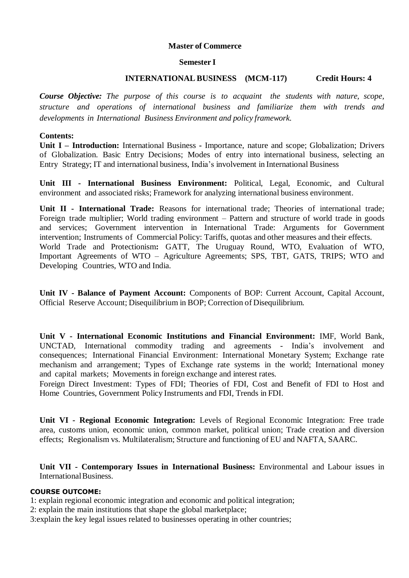#### **Semester I**

#### **INTERNATIONAL BUSINESS (MCM-117) Credit Hours: 4**

*Course Objective: The purpose of this course is to acquaint the students with nature, scope, structure and operations of international business and familiarize them with trends and developments in International Business Environment and policy framework.*

#### **Contents:**

**Unit I – Introduction:** International Business **-** Importance, nature and scope; Globalization; Drivers of Globalization. Basic Entry Decisions; Modes of entry into international business, selecting an Entry Strategy; IT and international business, India's involvement in International Business

**Unit III - International Business Environment:** Political, Legal, Economic, and Cultural environment and associated risks; Framework for analyzing international business environment.

**Unit II - International Trade:** Reasons for international trade; Theories of international trade; Foreign trade multiplier; World trading environment – Pattern and structure of world trade in goods and services; Government intervention in International Trade: Arguments for Government intervention; Instruments of Commercial Policy: Tariffs, quotas and other measures and their effects. World Trade and Protectionism**:** GATT, The Uruguay Round, WTO, Evaluation of WTO, Important Agreements of WTO – Agriculture Agreements; SPS, TBT, GATS, TRIPS; WTO and Developing Countries, WTO and India.

**Unit IV - Balance of Payment Account:** Components of BOP: Current Account, Capital Account, Official Reserve Account; Disequilibrium in BOP; Correction of Disequilibrium.

**Unit V - International Economic Institutions and Financial Environment:** IMF, World Bank, UNCTAD, International commodity trading and agreements - India's involvement and consequences; International Financial Environment: International Monetary System; Exchange rate mechanism and arrangement; Types of Exchange rate systems in the world; International money and capital markets; Movements in foreign exchange and interest rates.

Foreign Direct Investment: Types of FDI; Theories of FDI, Cost and Benefit of FDI to Host and Home Countries, Government Policy Instruments and FDI, Trends in FDI.

**Unit VI - Regional Economic Integration:** Levels of Regional Economic Integration: Free trade area, customs union, economic union, common market, political union; Trade creation and diversion effects; Regionalism vs. Multilateralism; Structure and functioning of EU and NAFTA, SAARC.

**Unit VII - Contemporary Issues in International Business:** Environmental and Labour issues in International Business.

#### **COURSE OUTCOME:**

1: explain regional economic integration and economic and political integration;

2: explain the main institutions that shape the global marketplace;

3:explain the key legal issues related to businesses operating in other countries;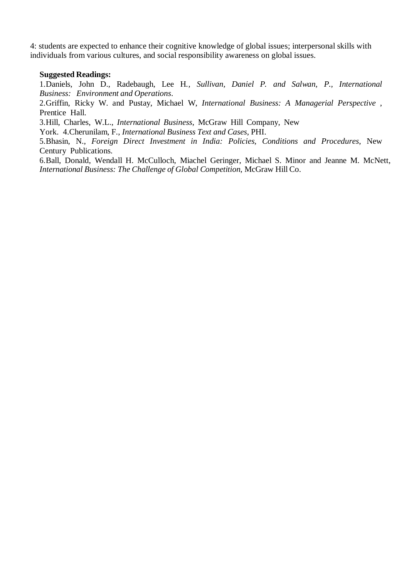4: students are expected to enhance their cognitive knowledge of global issues; interpersonal skills with individuals from various cultures, and social responsibility awareness on global issues.

#### **Suggested Readings:**

1.Daniels, John D., Radebaugh, Lee H*., Sullivan, Daniel P. and Salwan, P., International Business: Environment and Operations*.

2.Griffin, Ricky W. and Pustay, Michael W, *International Business: A Managerial Perspective* , Prentice Hall.

3.Hill, Charles, W.L., *International Business*, McGraw Hill Company, New

York. 4.Cherunilam, F., *International Business Text and Cases*, PHI.

5.Bhasin, N., *Foreign Direct Investment in India: Policies, Conditions and Procedures*, New Century Publications.

6.Ball, Donald, Wendall H. McCulloch, Miachel Geringer, Michael S. Minor and Jeanne M. McNett, *International Business: The Challenge of Global Competition*, McGraw Hill Co.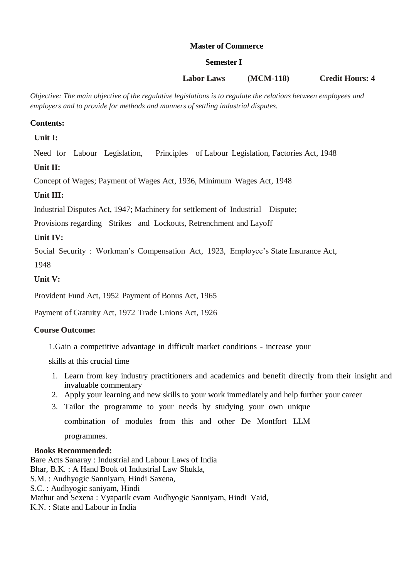#### **Semester I**

## **Labor Laws (MCM-118) Credit Hours: 4**

*Objective: The main objective of the regulative legislations is to regulate the relations between employees and employers and to provide for methods and manners of settling industrial disputes.*

#### **Contents:**

 **Unit I:** 

Need for Labour Legislation, Principles of Labour Legislation, Factories Act, 1948

## **Unit II:**

Concept of Wages; Payment of Wages Act, 1936, Minimum Wages Act, 1948

## **Unit III:**

Industrial Disputes Act, 1947; Machinery for settlement of Industrial Dispute;

Provisions regarding Strikes and Lockouts, Retrenchment and Layoff

#### **Unit IV:**

Social Security : Workman's Compensation Act, 1923, Employee's State Insurance Act,

1948

## **Unit V:**

Provident Fund Act, 1952 Payment of Bonus Act, 1965

Payment of Gratuity Act, 1972 Trade Unions Act, 1926

#### **Course Outcome:**

1.Gain a competitive advantage in difficult market conditions - increase your

skills at this crucial time

- 1. Learn from key industry practitioners and academics and benefit directly from their insight and invaluable commentary
- 2. Apply your learning and new skills to your work immediately and help further your career
- 3. Tailor the programme to your needs by studying your own unique

combination of modules from this and other De Montfort LLM

programmes.

#### **Books Recommended:**

Bare Acts Sanaray : Industrial and Labour Laws of India Bhar, B.K. : A Hand Book of Industrial Law Shukla, S.M. : Audhyogic Sanniyam, Hindi Saxena, S.C. : Audhyogic saniyam, Hindi Mathur and Sexena : Vyaparik evam Audhyogic Sanniyam, Hindi Vaid, K.N. : State and Labour in India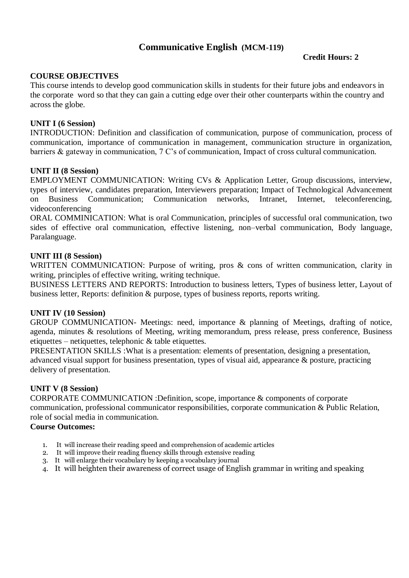# **Communicative English (MCM-119)**

#### **Credit Hours: 2**

#### **COURSE OBJECTIVES**

This course intends to develop good communication skills in students for their future jobs and endeavors in the corporate word so that they can gain a cutting edge over their other counterparts within the country and across the globe.

#### **UNIT I (6 Session)**

INTRODUCTION: Definition and classification of communication, purpose of communication, process of communication, importance of communication in management, communication structure in organization, barriers & gateway in communication, 7 C's of communication, Impact of cross cultural communication.

#### **UNIT II (8 Session)**

EMPLOYMENT COMMUNICATION: Writing CVs & Application Letter, Group discussions, interview, types of interview, candidates preparation, Interviewers preparation; Impact of Technological Advancement on Business Communication; Communication networks, Intranet, Internet, teleconferencing, videoconferencing

ORAL COMMINICATION: What is oral Communication, principles of successful oral communication, two sides of effective oral communication, effective listening, non–verbal communication, Body language, Paralanguage.

#### **UNIT III (8 Session)**

WRITTEN COMMUNICATION: Purpose of writing, pros & cons of written communication, clarity in writing, principles of effective writing, writing technique.

BUSINESS LETTERS AND REPORTS: Introduction to business letters, Types of business letter, Layout of business letter, Reports: definition & purpose, types of business reports, reports writing.

#### **UNIT IV (10 Session)**

GROUP COMMUNICATION- Meetings: need, importance & planning of Meetings, drafting of notice, agenda, minutes & resolutions of Meeting, writing memorandum, press release, press conference, Business etiquettes – netiquettes, telephonic & table etiquettes.

PRESENTATION SKILLS :What is a presentation: elements of presentation, designing a presentation, advanced visual support for business presentation, types of visual aid, appearance & posture, practicing delivery of presentation.

#### **UNIT V (8 Session)**

CORPORATE COMMUNICATION :Definition, scope, importance & components of corporate communication, professional communicator responsibilities, corporate communication & Public Relation, role of social media in communication.

#### **Course Outcomes:**

- 1. It will increase their reading speed and comprehension of academic articles
- 2. It will improve their reading fluency skills through extensive reading
- 3. It will enlarge their vocabulary by keeping a vocabulary journal
- 4. It will heighten their awareness of correct usage of English grammar in writing and speaking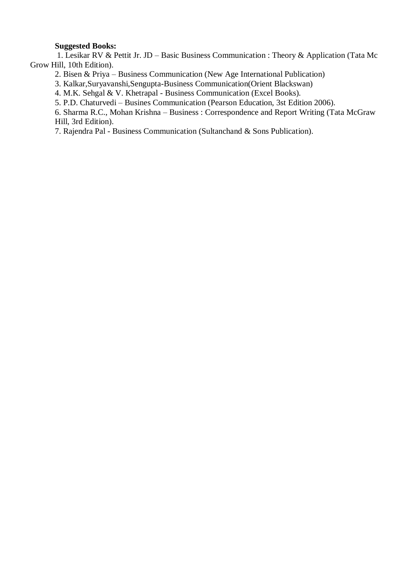#### **Suggested Books:**

 1. Lesikar RV & Pettit Jr. JD – Basic Business Communication : Theory & Application (Tata Mc Grow Hill, 10th Edition).

2. Bisen & Priya – Business Communication (New Age International Publication)

3. Kalkar,Suryavanshi,Sengupta-Business Communication(Orient Blackswan)

4. M.K. Sehgal & V. Khetrapal - Business Communication (Excel Books).

5. P.D. Chaturvedi – Busines Communication (Pearson Education, 3st Edition 2006).

6. Sharma R.C., Mohan Krishna – Business : Correspondence and Report Writing (Tata McGraw Hill, 3rd Edition).

7. Rajendra Pal - Business Communication (Sultanchand & Sons Publication).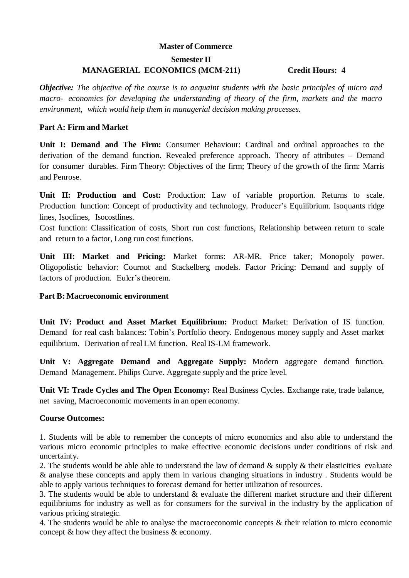# **Semester II MANAGERIAL ECONOMICS (MCM-211) Credit Hours: 4**

*Objective: The objective of the course is to acquaint students with the basic principles of micro and macro- economics for developing the understanding of theory of the firm, markets and the macro environment, which would help them in managerial decision making processes.*

#### **Part A: Firm and Market**

**Unit I: Demand and The Firm:** Consumer Behaviour: Cardinal and ordinal approaches to the derivation of the demand function. Revealed preference approach. Theory of attributes – Demand for consumer durables. Firm Theory: Objectives of the firm; Theory of the growth of the firm: Marris and Penrose.

**Unit II: Production and Cost:** Production: Law of variable proportion. Returns to scale. Production function: Concept of productivity and technology. Producer's Equilibrium. Isoquants ridge lines, Isoclines, Isocostlines.

Cost function: Classification of costs, Short run cost functions, Relationship between return to scale and return to a factor, Long run cost functions.

**Unit III: Market and Pricing:** Market forms: AR-MR. Price taker; Monopoly power. Oligopolistic behavior: Cournot and Stackelberg models. Factor Pricing: Demand and supply of factors of production. Euler's theorem.

#### **Part B: Macroeconomic environment**

**Unit IV: Product and Asset Market Equilibrium:** Product Market: Derivation of IS function. Demand for real cash balances: Tobin's Portfolio theory. Endogenous money supply and Asset market equilibrium. Derivation of real LM function. Real IS-LM framework.

**Unit V: Aggregate Demand and Aggregate Supply:** Modern aggregate demand function. Demand Management. Philips Curve. Aggregate supply and the price level.

**Unit VI: Trade Cycles and The Open Economy:** Real Business Cycles. Exchange rate, trade balance, net saving, Macroeconomic movements in an open economy.

#### **Course Outcomes:**

1. Students will be able to remember the concepts of micro economics and also able to understand the various micro economic principles to make effective economic decisions under conditions of risk and uncertainty.

2. The students would be able able to understand the law of demand  $\&$  supply  $\&$  their elasticities evaluate & analyse these concepts and apply them in various changing situations in industry . Students would be able to apply various techniques to forecast demand for better utilization of resources.

3. The students would be able to understand & evaluate the different market structure and their different equilibriums for industry as well as for consumers for the survival in the industry by the application of various pricing strategic.

4. The students would be able to analyse the macroeconomic concepts & their relation to micro economic concept & how they affect the business & economy.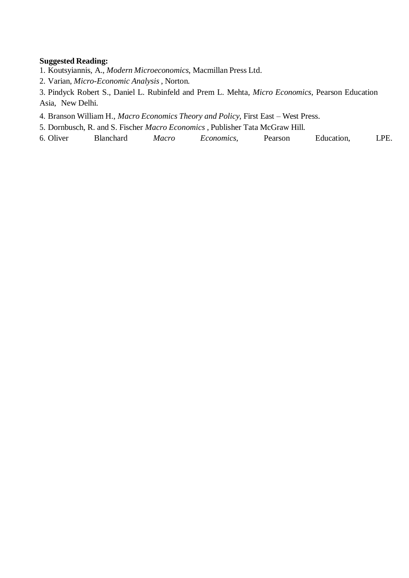#### **Suggested Reading:**

- 1. Koutsyiannis, A., *Modern Microeconomics*, Macmillan Press Ltd.
- 2. Varian, *Micro-Economic Analysis* , Norton.
- 3. Pindyck Robert S., Daniel L. Rubinfeld and Prem L. Mehta, *Micro Economics*, Pearson Education Asia, New Delhi.
- 4. Branson William H., *Macro Economics Theory and Policy*, First East West Press.
- 5. Dornbusch, R. and S. Fischer *Macro Economics* , Publisher Tata McGraw Hill.
- 6. Oliver Blanchard *Macro Economics,* Pearson Education, LPE.